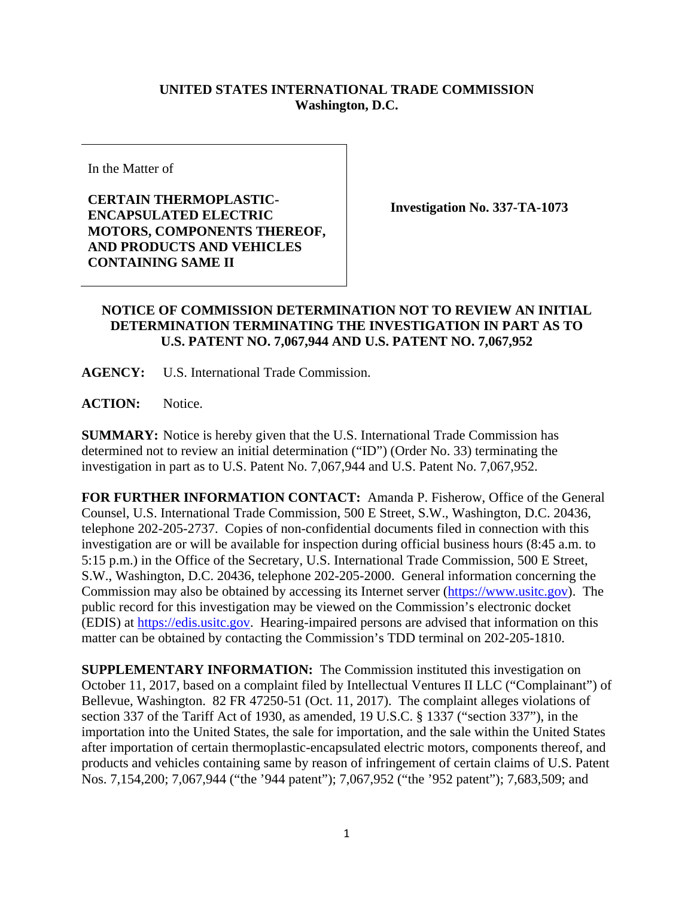## **UNITED STATES INTERNATIONAL TRADE COMMISSION Washington, D.C.**

In the Matter of

**CERTAIN THERMOPLASTIC-ENCAPSULATED ELECTRIC MOTORS, COMPONENTS THEREOF, AND PRODUCTS AND VEHICLES CONTAINING SAME II** 

**Investigation No. 337-TA-1073** 

## **NOTICE OF COMMISSION DETERMINATION NOT TO REVIEW AN INITIAL DETERMINATION TERMINATING THE INVESTIGATION IN PART AS TO U.S. PATENT NO. 7,067,944 AND U.S. PATENT NO. 7,067,952**

**AGENCY:** U.S. International Trade Commission.

ACTION: Notice.

**SUMMARY:** Notice is hereby given that the U.S. International Trade Commission has determined not to review an initial determination ("ID") (Order No. 33) terminating the investigation in part as to U.S. Patent No. 7,067,944 and U.S. Patent No. 7,067,952.

**FOR FURTHER INFORMATION CONTACT:** Amanda P. Fisherow, Office of the General Counsel, U.S. International Trade Commission, 500 E Street, S.W., Washington, D.C. 20436, telephone 202-205-2737. Copies of non-confidential documents filed in connection with this investigation are or will be available for inspection during official business hours (8:45 a.m. to 5:15 p.m.) in the Office of the Secretary, U.S. International Trade Commission, 500 E Street, S.W., Washington, D.C. 20436, telephone 202-205-2000. General information concerning the Commission may also be obtained by accessing its Internet server (https://www.usitc.gov). The public record for this investigation may be viewed on the Commission's electronic docket (EDIS) at https://edis.usitc.gov. Hearing-impaired persons are advised that information on this matter can be obtained by contacting the Commission's TDD terminal on 202-205-1810.

**SUPPLEMENTARY INFORMATION:** The Commission instituted this investigation on October 11, 2017, based on a complaint filed by Intellectual Ventures II LLC ("Complainant") of Bellevue, Washington. 82 FR 47250-51 (Oct. 11, 2017). The complaint alleges violations of section 337 of the Tariff Act of 1930, as amended, 19 U.S.C. § 1337 ("section 337"), in the importation into the United States, the sale for importation, and the sale within the United States after importation of certain thermoplastic-encapsulated electric motors, components thereof, and products and vehicles containing same by reason of infringement of certain claims of U.S. Patent Nos. 7,154,200; 7,067,944 ("the '944 patent"); 7,067,952 ("the '952 patent"); 7,683,509; and